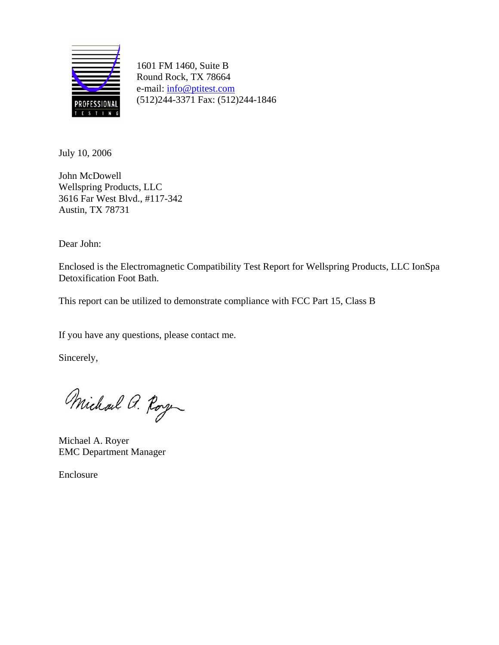

1601 FM 1460, Suite B Round Rock, TX 78664 e-mail: info@ptitest.com (512)244-3371 Fax: (512)244-1846

July 10, 2006

John McDowell Wellspring Products, LLC 3616 Far West Blvd., #117-342 Austin, TX 78731

Dear John:

Enclosed is the Electromagnetic Compatibility Test Report for Wellspring Products, LLC IonSpa Detoxification Foot Bath.

This report can be utilized to demonstrate compliance with FCC Part 15, Class B

If you have any questions, please contact me.

Sincerely,

Michael a. Roy

Michael A. Royer EMC Department Manager

Enclosure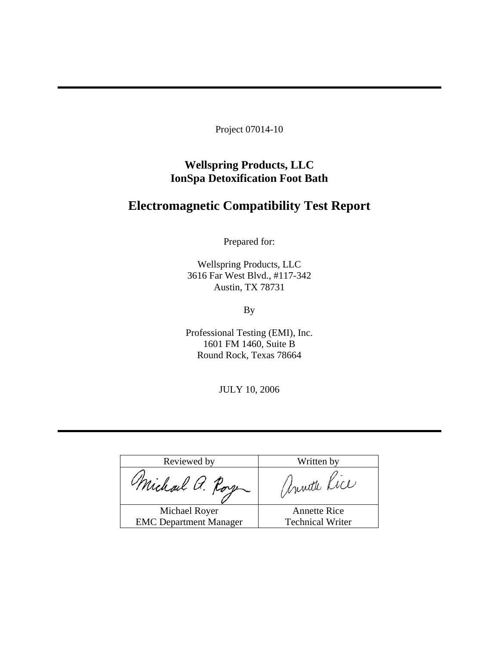Project 07014-10

**Wellspring Products, LLC IonSpa Detoxification Foot Bath** 

## **Electromagnetic Compatibility Test Report**

Prepared for:

Wellspring Products, LLC 3616 Far West Blvd., #117-342 Austin, TX 78731

By

Professional Testing (EMI), Inc. 1601 FM 1460, Suite B Round Rock, Texas 78664

JULY 10, 2006

| Reviewed by                   | Written by              |
|-------------------------------|-------------------------|
| Michael a. Roye               | Unnette Kice            |
| Michael Royer                 | <b>Annette Rice</b>     |
| <b>EMC</b> Department Manager | <b>Technical Writer</b> |